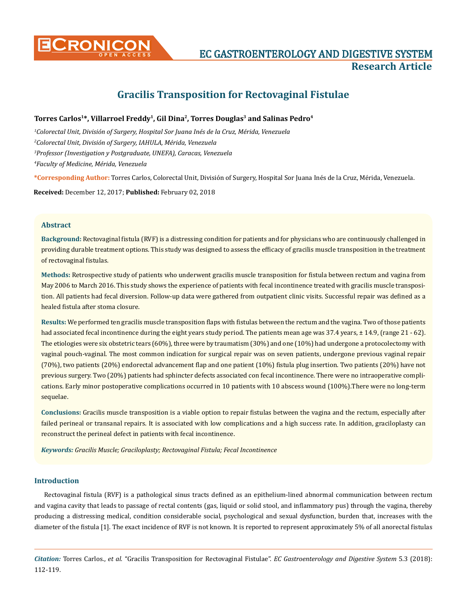

# **CRONICON EC GASTROENTEROLOGY AND DIGESTIVE SYSTEM Research Article**

# **Gracilis Transposition for Rectovaginal Fistulae**

# Torres Carlos<sup>1\*</sup>, Villarroel Freddy<sup>1</sup>, Gil Dina<sup>2</sup>, Torres Douglas<sup>3</sup> and Salinas Pedro<sup>4</sup>

 *Colorectal Unit, División of Surgery, Hospital Sor Juana Inés de la Cruz, Mérida, Venezuela Colorectal Unit, División of Surgery, IAHULA, Mérida, Venezuela Professor (Investigation y Postgraduate, UNEFA), Caracas, Venezuela Faculty of Medicine, Mérida, Venezuela* 

**\*Corresponding Author:** Torres Carlos, Colorectal Unit, División of Surgery, Hospital Sor Juana Inés de la Cruz, Mérida, Venezuela.

**Received:** December 12, 2017; **Published:** February 02, 2018

# **Abstract**

**Background:** Rectovaginal fistula (RVF) is a distressing condition for patients and for physicians who are continuously challenged in providing durable treatment options. This study was designed to assess the efficacy of gracilis muscle transposition in the treatment of rectovaginal fistulas.

**Methods:** Retrospective study of patients who underwent gracilis muscle transposition for fistula between rectum and vagina from May 2006 to March 2016. This study shows the experience of patients with fecal incontinence treated with gracilis muscle transposition. All patients had fecal diversion. Follow-up data were gathered from outpatient clinic visits. Successful repair was defined as a healed fistula after stoma closure.

**Results:** We performed ten gracilis muscle transposition flaps with fistulas between the rectum and the vagina. Two of those patients had associated fecal incontinence during the eight years study period. The patients mean age was 37.4 years,  $\pm$  14.9, (range 21 - 62). The etiologies were six obstetric tears (60%), three were by traumatism (30%) and one (10%) had undergone a protocolectomy with vaginal pouch-vaginal. The most common indication for surgical repair was on seven patients, undergone previous vaginal repair (70%), two patients (20%) endorectal advancement flap and one patient (10%) fistula plug insertion. Two patients (20%) have not previous surgery. Two (20%) patients had sphincter defects associated con fecal incontinence. There were no intraoperative complications. Early minor postoperative complications occurred in 10 patients with 10 abscess wound (100%).There were no long-term sequelae.

**Conclusions:** Gracilis muscle transposition is a viable option to repair fistulas between the vagina and the rectum, especially after failed perineal or transanal repairs. It is associated with low complications and a high success rate. In addition, graciloplasty can reconstruct the perineal defect in patients with fecal incontinence.

*Keywords: Gracilis Muscle; Graciloplasty; Rectovaginal Fistula; Fecal Incontinence*

## **Introduction**

Rectovaginal fistula (RVF) is a pathological sinus tracts defined as an epithelium-lined abnormal communication between rectum and vagina cavity that leads to passage of rectal contents (gas, liquid or solid stool, and inflammatory pus) through the vagina, thereby producing a distressing medical, condition considerable social, psychological and sexual dysfunction, burden that, increases with the diameter of the fistula [1]. The exact incidence of RVF is not known. It is reported to represent approximately 5% of all anorectal fistulas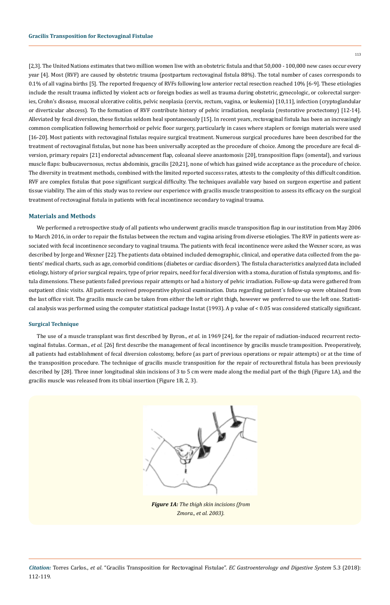[2,3]. The United Nations estimates that two million women live with an obstetric fistula and that 50,000 - 100,000 new cases occur every year [4]. Most (RVF) are caused by obstetric trauma (postpartum rectovaginal fistula 88%). The total number of cases corresponds to 0.1% of all vagina births [5]. The reported frequency of RVFs following low anterior rectal resection reached 10% [6-9]. These etiologies include the result trauma inflicted by violent acts or foreign bodies as well as trauma during obstetric, gynecologic, or colorectal surgeries, Crohn's disease, mucosal ulcerative colitis, pelvic neoplasia (cervix, rectum, vagina, or leukemia) [10,11], infection (cryptoglandular or diverticular abscess). To the formation of RVF contribute history of pelvic irradiation, neoplasia (restorative proctectomy) [12-14]. Alleviated by fecal diversion, these fistulas seldom heal spontaneously [15]. In recent years, rectovaginal fistula has been an increasingly common complication following hemorrhoid or pelvic floor surgery, particularly in cases where staplers or foreign materials were used [16-20]. Most patients with rectovaginal fistulas require surgical treatment. Numerous surgical procedures have been described for the treatment of rectovaginal fistulas, but none has been universally accepted as the procedure of choice. Among the procedure are fecal diversion, primary repairs [21] endorectal advancement flap, coloanal sleeve anastomosis [20], transposition flaps (omental), and various muscle flaps: bulbucavernosus, rectus abdominis, gracilis [20,21], none of which has gained wide acceptance as the procedure of choice. The diversity in treatment methods, combined with the limited reported success rates, attests to the complexity of this difficult condition. RVF are complex fistulas that pose significant surgical difficulty. The techniques available vary based on surgeon expertise and patient tissue viability. The aim of this study was to review our experience with gracilis muscle transposition to assess its efficacy on the surgical treatment of rectovaginal fistula in patients with fecal incontinence secondary to vaginal trauma.

# **Materials and Methods**

We performed a retrospective study of all patients who underwent gracilis muscle transposition flap in our institution from May 2006 to March 2016, in order to repair the fistulas between the rectum and vagina arising from diverse etiologies. The RVF in patients were associated with fecal incontinence secondary to vaginal trauma. The patients with fecal incontinence were asked the Wexner score, as was described by Jorge and Wexner [22]. The patients data obtained included demographic, clinical, and operative data collected from the patients' medical charts, such as age, comorbid conditions (diabetes or cardiac disorders). The fistula characteristics analyzed data included etiology, history of prior surgical repairs, type of prior repairs, need for fecal diversion with a stoma, duration of fistula symptoms, and fistula dimensions. These patients failed previous repair attempts or had a history of pelvic irradiation. Follow-up data were gathered from outpatient clinic visits. All patients received preoperative physical examination. Data regarding patient´s follow-up were obtained from the last office visit. The gracilis muscle can be taken from either the left or right thigh, however we preferred to use the left one. Statistical analysis was performed using the computer statistical package Instat (1993). A p value of < 0.05 was considered statically significant.

#### **Surgical Technique**

The use of a muscle transplant was first described by Byron., *et al*. in 1969 [24], for the repair of radiation-induced recurrent rectovaginal fistulas. Corman., *et al*. [26] first describe the management of fecal incontinence by gracilis muscle transposition. Preoperatively, all patients had establishment of fecal diversion colostomy, before (as part of previous operations or repair attempts) or at the time of the transposition procedure. The technique of gracilis muscle transposition for the repair of rectourethral fistula has been previously described by [28]. Three inner longitudinal skin incisions of 3 to 5 cm were made along the medial part of the thigh (Figure 1A), and the gracilis muscle was released from its tibial insertion (Figure 1B, 2, 3).



*Figure 1A: The thigh skin incisions (from Zmora., et al. 2003).*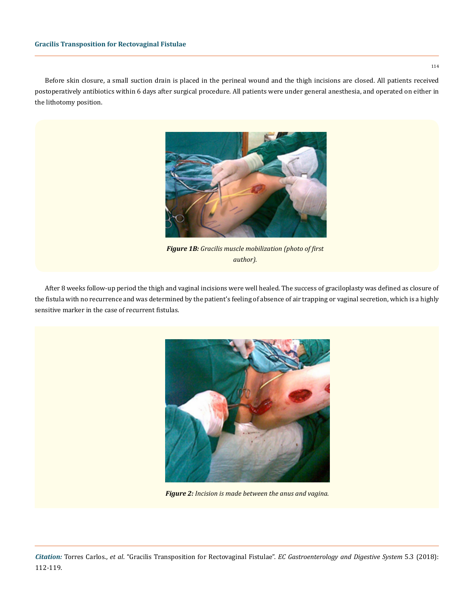Before skin closure, a small suction drain is placed in the perineal wound and the thigh incisions are closed. All patients received postoperatively antibiotics within 6 days after surgical procedure. All patients were under general anesthesia, and operated on either in the lithotomy position.



*Figure 1B: Gracilis muscle mobilization (photo of first author).*

After 8 weeks follow-up period the thigh and vaginal incisions were well healed. The success of graciloplasty was defined as closure of the fistula with no recurrence and was determined by the patient's feeling of absence of air trapping or vaginal secretion, which is a highly sensitive marker in the case of recurrent fistulas.



*Figure 2: Incision is made between the anus and vagina.*

*Citation:* Torres Carlos., *et al*. "Gracilis Transposition for Rectovaginal Fistulae". *EC Gastroenterology and Digestive System* 5.3 (2018): 112-119.

114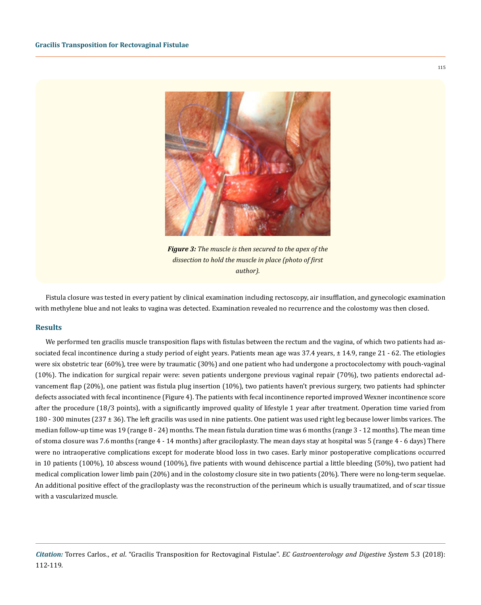

*Figure 3: The muscle is then secured to the apex of the dissection to hold the muscle in place (photo of first author).*

Fistula closure was tested in every patient by clinical examination including rectoscopy, air insufflation, and gynecologic examination with methylene blue and not leaks to vagina was detected. Examination revealed no recurrence and the colostomy was then closed.

#### **Results**

We performed ten gracilis muscle transposition flaps with fistulas between the rectum and the vagina, of which two patients had associated fecal incontinence during a study period of eight years. Patients mean age was 37.4 years, ± 14.9, range 21 - 62. The etiologies were six obstetric tear (60%), tree were by traumatic (30%) and one patient who had undergone a proctocolectomy with pouch-vaginal (10%). The indication for surgical repair were: seven patients undergone previous vaginal repair (70%), two patients endorectal advancement flap (20%), one patient was fistula plug insertion (10%), two patients haven't previous surgery, two patients had sphincter defects associated with fecal incontinence (Figure 4). The patients with fecal incontinence reported improved Wexner incontinence score after the procedure (18/3 points), with a significantly improved quality of lifestyle 1 year after treatment. Operation time varied from 180 - 300 minutes (237 ± 36). The left gracilis was used in nine patients. One patient was used right leg because lower limbs varices. The median follow-up time was 19 (range 8 - 24) months. The mean fistula duration time was 6 months (range 3 - 12 months). The mean time of stoma closure was 7.6 months (range 4 - 14 months) after graciloplasty. The mean days stay at hospital was 5 (range 4 - 6 days) There were no intraoperative complications except for moderate blood loss in two cases. Early minor postoperative complications occurred in 10 patients (100%), 10 abscess wound (100%), five patients with wound dehiscence partial a little bleeding (50%), two patient had medical complication lower limb pain (20%) and in the colostomy closure site in two patients (20%). There were no long-term sequelae. An additional positive effect of the graciloplasty was the reconstruction of the perineum which is usually traumatized, and of scar tissue with a vascularized muscle.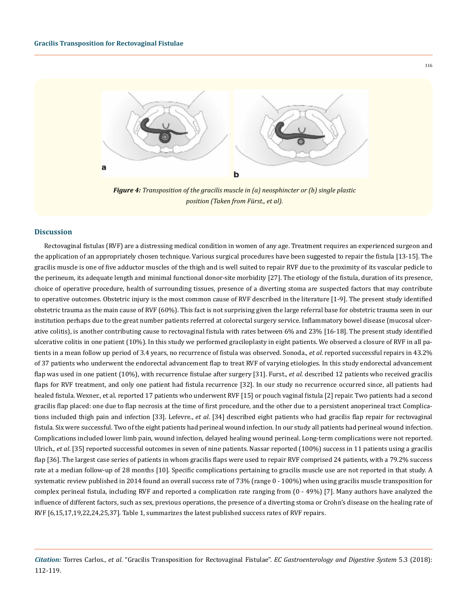

*Figure 4: Transposition of the gracilis muscle in (a) neosphincter or (b) single plastic position (Taken from Fürst., et al).*

#### **Discussion**

Rectovaginal fistulas (RVF) are a distressing medical condition in women of any age. Treatment requires an experienced surgeon and the application of an appropriately chosen technique. Various surgical procedures have been suggested to repair the fistula [13-15]. The gracilis muscle is one of five adductor muscles of the thigh and is well suited to repair RVF due to the proximity of its vascular pedicle to the perineum, its adequate length and minimal functional donor-site morbidity [27]. The etiology of the fistula, duration of its presence, choice of operative procedure, health of surrounding tissues, presence of a diverting stoma are suspected factors that may contribute to operative outcomes. Obstetric injury is the most common cause of RVF described in the literature [1-9]. The present study identified obstetric trauma as the main cause of RVF (60%). This fact is not surprising given the large referral base for obstetric trauma seen in our institution perhaps due to the great number patients referred at colorectal surgery service. Inflammatory bowel disease (mucosal ulcerative colitis), is another contributing cause to rectovaginal fistula with rates between 6% and 23% [16-18]. The present study identified ulcerative colitis in one patient (10%). In this study we performed graciloplasty in eight patients. We observed a closure of RVF in all patients in a mean follow up period of 3.4 years, no recurrence of fistula was observed. Sonoda., *et al*. reported successful repairs in 43.2% of 37 patients who underwent the endorectal advancement flap to treat RVF of varying etiologies. In this study endorectal advancement flap was used in one patient (10%), with recurrence fistulae after surgery [31]. Furst., *et al*. described 12 patients who received gracilis flaps for RVF treatment, and only one patient had fistula recurrence [32]. In our study no recurrence occurred since, all patients had healed fistula. Wexner., et al. reported 17 patients who underwent RVF [15] or pouch vaginal fistula [2] repair. Two patients had a second gracilis flap placed: one due to flap necrosis at the time of first procedure, and the other due to a persistent anoperineal tract Complications included thigh pain and infection [33]. Lefevre., *et al*. [34] described eight patients who had gracilis flap repair for rectovaginal fistula. Six were successful. Two of the eight patients had perineal wound infection. In our study all patients had perineal wound infection. Complications included lower limb pain, wound infection, delayed healing wound perineal. Long-term complications were not reported. Ulrich., *et al*. [35] reported successful outcomes in seven of nine patients. Nassar reported (100%) success in 11 patients using a gracilis flap [36]. The largest case series of patients in whom gracilis flaps were used to repair RVF comprised 24 patients, with a 79.2% success rate at a median follow-up of 28 months [10]. Specific complications pertaining to gracilis muscle use are not reported in that study. A systematic review published in 2014 found an overall success rate of 73% (range 0 - 100%) when using gracilis muscle transposition for complex perineal fistula, including RVF and reported a complication rate ranging from (0 - 49%) [7]. Many authors have analyzed the influence of different factors, such as sex, previous operations, the presence of a diverting stoma or Crohn's disease on the healing rate of RVF [6,15,17,19,22,24,25,37]. Table 1, summarizes the latest published success rates of RVF repairs.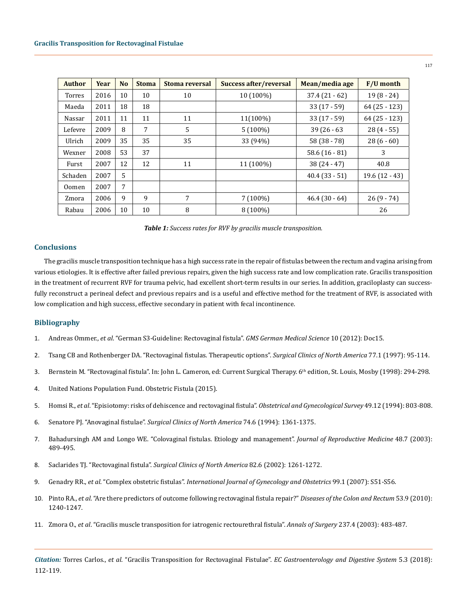| <b>Author</b> | Year | N <sub>o</sub> | <b>Stoma</b> | Stoma reversal | Success after/reversal | Mean/media age   | <b>F/U</b> month |
|---------------|------|----------------|--------------|----------------|------------------------|------------------|------------------|
| <b>Torres</b> | 2016 | 10             | 10           | 10             | 10 (100%)              | $37.4(21-62)$    | $19(8-24)$       |
| Maeda         | 2011 | 18             | 18           |                |                        | $33(17-59)$      | $64(25 - 123)$   |
| Nassar        | 2011 | 11             | 11           | 11             | 11(100%)               | $33(17-59)$      | $64(25-123)$     |
| Lefevre       | 2009 | 8              | 7            | 5              | $5(100\%)$             | $39(26-63)$      | $28(4-55)$       |
| Ulrich        | 2009 | 35             | 35           | 35             | 33 (94%)               | $58(38-78)$      | $28(6-60)$       |
| Wexner        | 2008 | 53             | 37           |                |                        | 58.6 $(16 - 81)$ | 3                |
| Furst         | 2007 | 12             | 12           | 11             | 11 (100%)              | $38(24 - 47)$    | 40.8             |
| Schaden       | 2007 | 5              |              |                |                        | $40.4(33-51)$    | $19.6(12 - 43)$  |
| 0omen         | 2007 | 7              |              |                |                        |                  |                  |
| Zmora         | 2006 | 9              | 9            | 7              | $7(100\%)$             | $46.4(30-64)$    | $26(9 - 74)$     |
| Rabau         | 2006 | 10             | 10           | 8              | 8 (100%)               |                  | 26               |

| Table 1: Success rates for RVF by gracilis muscle transposition. |  |  |
|------------------------------------------------------------------|--|--|
|------------------------------------------------------------------|--|--|

# **Conclusions**

The gracilis muscle transposition technique has a high success rate in the repair of fistulas between the rectum and vagina arising from various etiologies. It is effective after failed previous repairs, given the high success rate and low complication rate. Gracilis transposition in the treatment of recurrent RVF for trauma pelvic, had excellent short-term results in our series. In addition, graciloplasty can successfully reconstruct a perineal defect and previous repairs and is a useful and effective method for the treatment of RVF, is associated with low complication and high success, effective secondary in patient with fecal incontinence.

# **Bibliography**

- 1. Andreas Ommer., *et al*[. "German S3-Guideline: Rectovaginal fistula".](https://www.ncbi.nlm.nih.gov/pmc/articles/PMC3525883/) *GMS German Medical Science* 10 (2012): Doc15.
- 2. [Tsang CB and Rothenberger DA. "Rectovaginal fistulas. Therapeutic options".](https://www.ncbi.nlm.nih.gov/pubmed/9092120) *Surgical Clinics of North America* 77.1 (1997): 95-114.
- 3. Bernstein M. "Rectovaginal fistula". In: John L. Cameron, ed: Current Surgical Therapy. 6<sup>th</sup> edition, St. Louis, Mosby (1998): 294-298.
- 4. [United Nations Population Fund. Obstetric Fistula \(2015\).](http://www.unfpa.org/obstetric-fistula)
- 5. Homsi R., *et al*[. "Episiotomy: risks of dehiscence and rectovaginal fistula".](https://www.ncbi.nlm.nih.gov/pubmed/7885655) *Obstetrical and Gynecological Survey* 49.12 (1994): 803-808.
- 6. Senatore PJ. "Anovaginal fistulae". *[Surgical Clinics of North America](https://www.ncbi.nlm.nih.gov/pubmed/7985071)* 74.6 (1994): 1361-1375.
- 7. [Bahadursingh AM and Longo WE. "Colovaginal fistulas. Etiology and management".](https://www.ncbi.nlm.nih.gov/pubmed/12953321) *Journal of Reproductive Medicine* 48.7 (2003): [489-495.](https://www.ncbi.nlm.nih.gov/pubmed/12953321)
- 8. Saclarides TJ. "Rectovaginal fistula". *[Surgical Clinics of North America](https://www.ncbi.nlm.nih.gov/pubmed/12516853)* 82.6 (2002): 1261-1272.
- 9. Genadry RR., *et al*. "Complex obstetric fistulas". *[International Journal of Gynecology and Obstetrics](https://www.sciencedirect.com/science/article/pii/S0020729207003761)* 99.1 (2007): S51-S56.
- 10. Pinto RA., *et al*[. "Are there predictors of outcome following rectovaginal fistula repair?"](https://www.ncbi.nlm.nih.gov/pubmed/20706066) *Diseases of the Colon and Rectum* 53.9 (2010): [1240-1247.](https://www.ncbi.nlm.nih.gov/pubmed/20706066)
- 11. Zmora O., *et al*[. "Gracilis muscle transposition for iatrogenic rectourethral fistula".](https://www.ncbi.nlm.nih.gov/pubmed/12677143) *Annals of Surgery* 237.4 (2003): 483-487.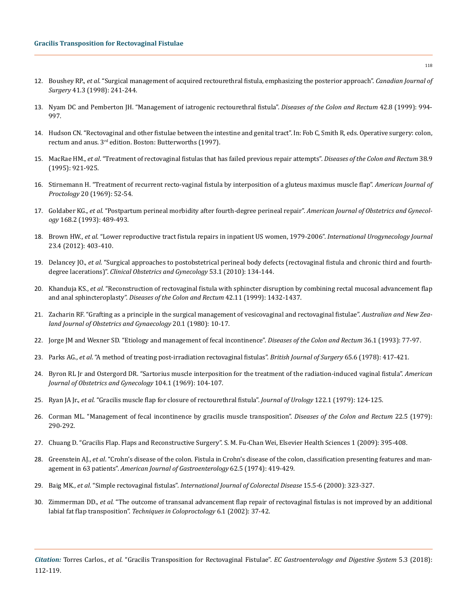- 12. Boushey RP., *et al*[. "Surgical management of acquired rectourethral fistula, emphasizing the posterior approach".](https://www.ncbi.nlm.nih.gov/pubmed/9627552) *Canadian Journal of Surgery* [41.3 \(1998\): 241-244.](https://www.ncbi.nlm.nih.gov/pubmed/9627552)
- 13. [Nyam DC and Pemberton JH. "Management of iatrogenic rectourethral fistula".](https://www.ncbi.nlm.nih.gov/pubmed/10458120) *Diseases of the Colon and Rectum* 42.8 (1999): 994- [997.](https://www.ncbi.nlm.nih.gov/pubmed/10458120)
- 14. Hudson CN. "Rectovaginal and other fistulae between the intestine and genital tract". In: Fob C, Smith R, eds. Operative surgery: colon, rectum and anus. 3rd edition. Boston: Butterworths (1997).
- 15. MacRae HM., *et al*[. "Treatment of rectovaginal fistulas that has failed previous repair attempts".](https://www.ncbi.nlm.nih.gov/pubmed/7656738) *Diseases of the Colon and Rectum* 38.9 [\(1995\): 921-925.](https://www.ncbi.nlm.nih.gov/pubmed/7656738)
- 16. Stirnemann H. "Treatment of recurrent recto-vaginal fistula by interposition of a gluteus maximus muscle flap". *American Journal of Proctology* 20 (1969): 52-54.
- 17. Goldaber KG., *et al*[. "Postpartum perineal morbidity after fourth-degree perineal repair".](https://www.ncbi.nlm.nih.gov/pubmed/8438915) *American Journal of Obstetrics and Gynecology* [168.2 \(1993\): 489-493.](https://www.ncbi.nlm.nih.gov/pubmed/8438915)
- 18. Brown HW., *et al*[. "Lower reproductive tract fistula repairs in inpatient US women, 1979-2006".](https://www.ncbi.nlm.nih.gov/pubmed/22278712) *International Urogynecology Journal*  [23.4 \(2012\): 403-410.](https://www.ncbi.nlm.nih.gov/pubmed/22278712)
- 19. Delancey JO., *et al*[. "Surgical approaches to postobstetrical perineal body defects \(rectovaginal fistula and chronic third and fourth](https://www.ncbi.nlm.nih.gov/pubmed/20142650)degree lacerations)". *[Clinical Obstetrics and Gynecology](https://www.ncbi.nlm.nih.gov/pubmed/20142650)* 53.1 (2010): 134-144.
- 20. Khanduja KS., *et al*[. "Reconstruction of rectovaginal fistula with sphincter disruption by combining rectal mucosal advancement flap](https://www.ncbi.nlm.nih.gov/pubmed/10566531)  and anal sphincteroplasty". *[Diseases of the Colon and Rectum](https://www.ncbi.nlm.nih.gov/pubmed/10566531)* 42.11 (1999): 1432-1437.
- 21. [Zacharin RF. "Grafting as a principle in the surgical management of vesicovaginal and rectovaginal fistulae".](https://www.ncbi.nlm.nih.gov/pubmed/6930245) *Australian and New Zea[land Journal of Obstetrics and Gynaecology](https://www.ncbi.nlm.nih.gov/pubmed/6930245)* 20.1 (1980): 10-17.
- 22. [Jorge JM and Wexner SD. "Etiology and management of fecal incontinence".](https://www.ncbi.nlm.nih.gov/pubmed/8416784) *Diseases of the Colon and Rectum* 36.1 (1993): 77-97.
- 23. Parks AG., *et al*[. "A method of treating post-irradiation rectovaginal fistulas".](https://www.ncbi.nlm.nih.gov/pubmed/656762) *British Journal of Surgery* 65.6 (1978): 417-421.
- 24. [Byron RL Jr and Ostergord DR. "Sartorius muscle interposition for the treatment of the radiation-induced vaginal fistula".](https://www.ncbi.nlm.nih.gov/pubmed/5777694) *American [Journal of Obstetrics and Gynecology](https://www.ncbi.nlm.nih.gov/pubmed/5777694)* 104.1 (1969): 104-107.
- 25. Ryan JA Jr., *et al*[. "Gracilis muscle flap for closure of rectourethral fistula".](https://www.ncbi.nlm.nih.gov/pubmed/458977) *Journal of Urology* 122.1 (1979): 124-125.
- 26. [Corman ML. "Management of fecal incontinence by gracilis muscle transposition".](https://www.ncbi.nlm.nih.gov/pubmed/467190) *Diseases of the Colon and Rectum* 22.5 (1979): [290-292.](https://www.ncbi.nlm.nih.gov/pubmed/467190)
- 27. [Chuang D. "Gracilis Flap. Flaps and Reconstructive Surgery". S. M. Fu-Chan Wei, Elsevier Health Sciences 1 \(2009\): 395-408.](https://www.elsevier.com/books/flaps-and-reconstructive-surgery/wei/978-0-7216-0519-7)
- 28. Greenstein AJ., *et al*[. "Crohn's disease of the colon. Fistula in Crohn's disease of the colon, classification presenting features and man](https://www.ncbi.nlm.nih.gov/pubmed/4440674)agement in 63 patients". *[American Journal of Gastroenterology](https://www.ncbi.nlm.nih.gov/pubmed/4440674)* 62.5 (1974): 419-429.
- 29. Baig MK., *et al*. "Simple rectovaginal fistulas". *[International Journal of Colorectal Disease](https://www.ncbi.nlm.nih.gov/pubmed/11151438)* 15.5-6 (2000): 323-327.
- 30. Zimmerman DD., *et al*[. "The outcome of transanal advancement flap repair of rectovaginal fistulas is not improved by an additional](https://www.ncbi.nlm.nih.gov/pubmed/12077640)  labial fat flap transposition". *[Techniques in Coloproctology](https://www.ncbi.nlm.nih.gov/pubmed/12077640)* 6.1 (2002): 37-42.

118